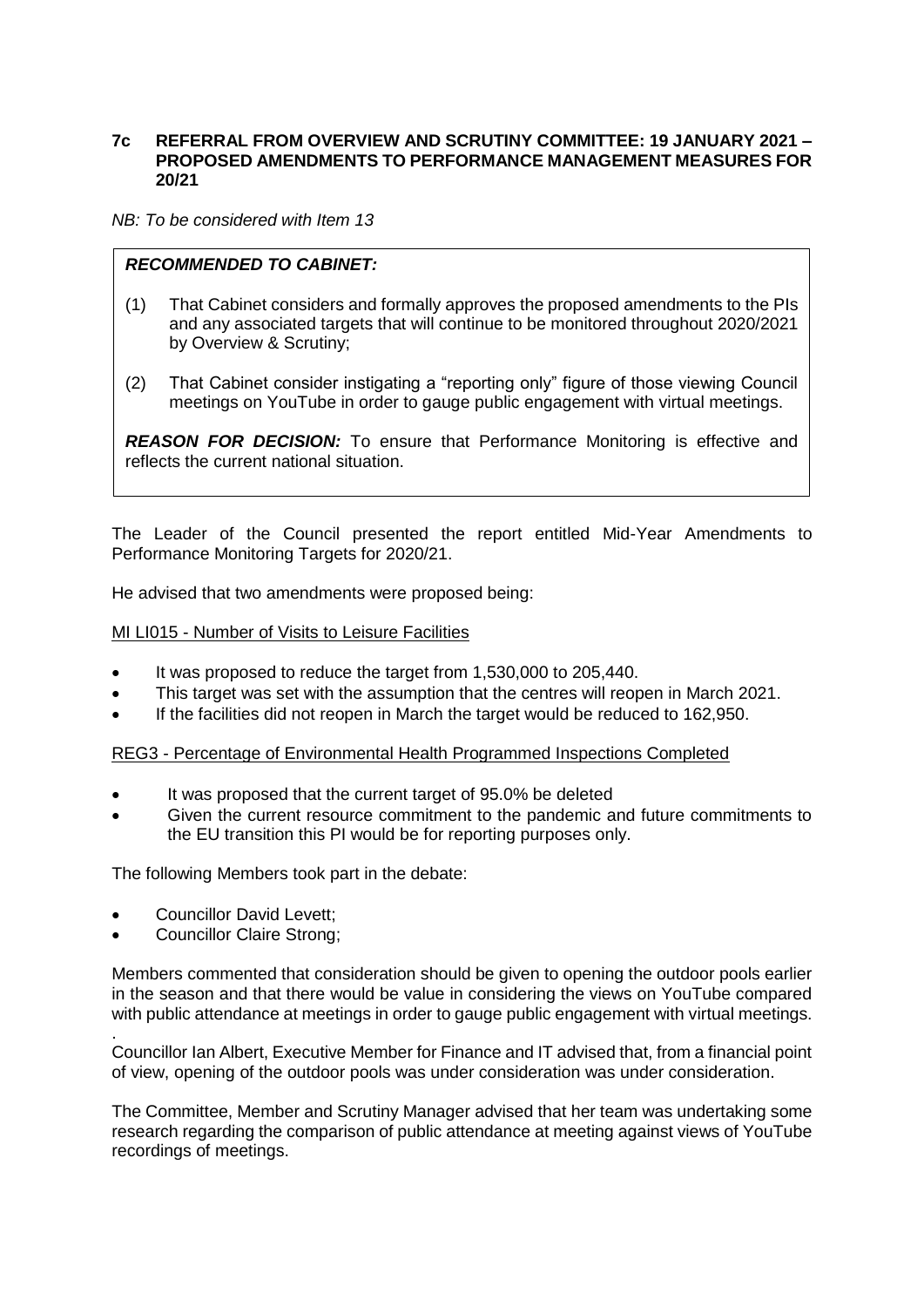# **7c REFERRAL FROM OVERVIEW AND SCRUTINY COMMITTEE: 19 JANUARY 2021 – PROPOSED AMENDMENTS TO PERFORMANCE MANAGEMENT MEASURES FOR 20/21**

*NB: To be considered with Item 13*

# *RECOMMENDED TO CABINET:*

- (1) That Cabinet considers and formally approves the proposed amendments to the PIs and any associated targets that will continue to be monitored throughout 2020/2021 by Overview & Scrutiny;
- (2) That Cabinet consider instigating a "reporting only" figure of those viewing Council meetings on YouTube in order to gauge public engagement with virtual meetings.

*REASON FOR DECISION:* To ensure that Performance Monitoring is effective and reflects the current national situation.

The Leader of the Council presented the report entitled Mid-Year Amendments to Performance Monitoring Targets for 2020/21.

He advised that two amendments were proposed being:

# MI LI015 - Number of Visits to Leisure Facilities

- It was proposed to reduce the target from 1,530,000 to 205,440.
- This target was set with the assumption that the centres will reopen in March 2021.
- If the facilities did not reopen in March the target would be reduced to 162,950.

#### REG3 - Percentage of Environmental Health Programmed Inspections Completed

- It was proposed that the current target of 95.0% be deleted
- Given the current resource commitment to the pandemic and future commitments to the EU transition this PI would be for reporting purposes only.

The following Members took part in the debate:

- Councillor David Levett;
- Councillor Claire Strong;

.

Members commented that consideration should be given to opening the outdoor pools earlier in the season and that there would be value in considering the views on YouTube compared with public attendance at meetings in order to gauge public engagement with virtual meetings.

Councillor Ian Albert, Executive Member for Finance and IT advised that, from a financial point of view, opening of the outdoor pools was under consideration was under consideration.

The Committee, Member and Scrutiny Manager advised that her team was undertaking some research regarding the comparison of public attendance at meeting against views of YouTube recordings of meetings.